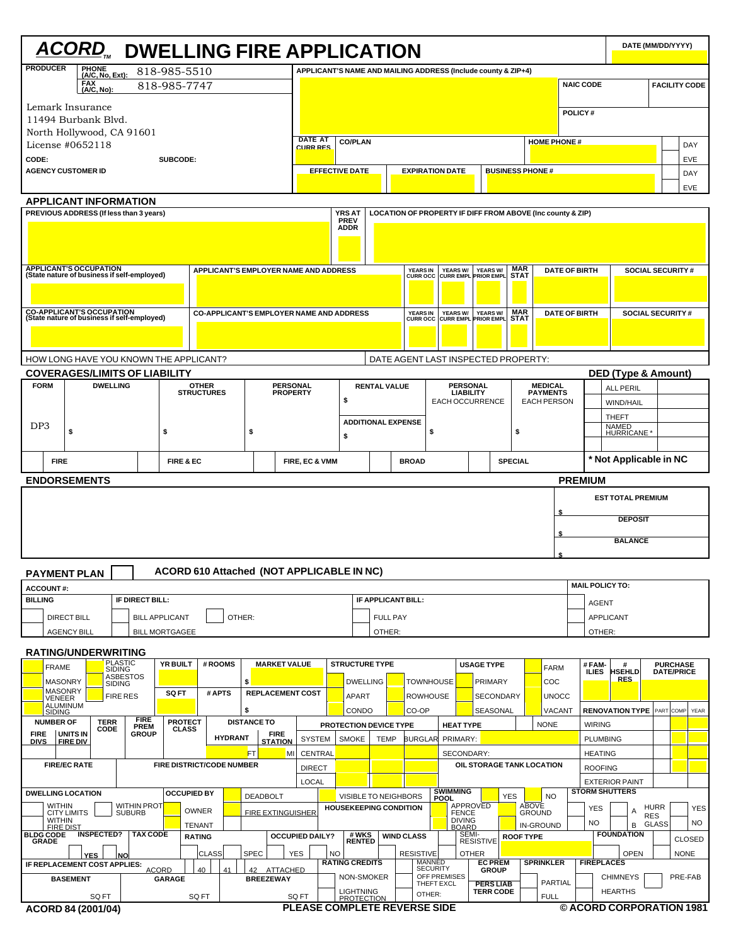|                                                                                 |                                                                                                                                                                                                                                                                                                 |                                         |               |                            |                                | <b>ACORD, DWELLING FIRE APPLICATION</b>         |             |                                    |                                                               |    |                         |                               |                                    |        |                                           |                                     |                                      |                           |                                   |                      |                        |                                                | DATE (MM/DD/YYYY)        |                                      |                      |
|---------------------------------------------------------------------------------|-------------------------------------------------------------------------------------------------------------------------------------------------------------------------------------------------------------------------------------------------------------------------------------------------|-----------------------------------------|---------------|----------------------------|--------------------------------|-------------------------------------------------|-------------|------------------------------------|---------------------------------------------------------------|----|-------------------------|-------------------------------|------------------------------------|--------|-------------------------------------------|-------------------------------------|--------------------------------------|---------------------------|-----------------------------------|----------------------|------------------------|------------------------------------------------|--------------------------|--------------------------------------|----------------------|
| <b>PRODUCER</b>                                                                 |                                                                                                                                                                                                                                                                                                 | PHONE<br>(A/C, No, Ext):                |               |                            | 818-985-5510                   |                                                 |             |                                    | APPLICANT'S NAME AND MAILING ADDRESS (Include county & ZIP+4) |    |                         |                               |                                    |        |                                           |                                     |                                      |                           |                                   |                      |                        |                                                |                          |                                      |                      |
|                                                                                 | FAX<br>(A/C, No):                                                                                                                                                                                                                                                                               |                                         |               |                            | 818-985-7747                   |                                                 |             |                                    |                                                               |    |                         |                               |                                    |        |                                           |                                     |                                      |                           |                                   |                      | <b>NAIC CODE</b>       |                                                |                          |                                      | <b>FACILITY CODE</b> |
| Lemark Insurance                                                                |                                                                                                                                                                                                                                                                                                 |                                         |               |                            |                                |                                                 |             |                                    |                                                               |    |                         |                               |                                    |        |                                           |                                     |                                      |                           |                                   |                      |                        |                                                |                          |                                      |                      |
| 11494 Burbank Blvd.                                                             |                                                                                                                                                                                                                                                                                                 |                                         |               |                            |                                |                                                 |             |                                    |                                                               |    |                         |                               |                                    |        |                                           |                                     |                                      |                           |                                   | POLICY#              |                        |                                                |                          |                                      |                      |
| North Hollywood, CA 91601<br>License #0652118                                   |                                                                                                                                                                                                                                                                                                 |                                         |               |                            |                                |                                                 |             |                                    | <b>DATE AT</b>                                                |    | <b>CO/PLAN</b>          |                               |                                    |        |                                           |                                     |                                      |                           |                                   | <b>HOME PHONE#</b>   |                        |                                                |                          |                                      | DAY                  |
| CODE:                                                                           |                                                                                                                                                                                                                                                                                                 |                                         |               |                            | SUBCODE:                       |                                                 |             |                                    | <b>CURR RES</b>                                               |    |                         |                               |                                    |        |                                           |                                     |                                      |                           |                                   |                      |                        |                                                |                          |                                      | <b>EVE</b>           |
| <b>AGENCY CUSTOMER ID</b>                                                       |                                                                                                                                                                                                                                                                                                 |                                         |               |                            |                                |                                                 |             |                                    |                                                               |    | <b>EFFECTIVE DATE</b>   |                               |                                    |        | <b>EXPIRATION DATE</b>                    |                                     |                                      | <b>BUSINESS PHONE #</b>   |                                   |                      |                        |                                                |                          |                                      | DAY                  |
|                                                                                 |                                                                                                                                                                                                                                                                                                 |                                         |               |                            |                                |                                                 |             |                                    |                                                               |    |                         |                               |                                    |        |                                           |                                     |                                      |                           |                                   |                      |                        |                                                |                          |                                      | <b>EVE</b>           |
|                                                                                 | <b>APPLICANT INFORMATION</b>                                                                                                                                                                                                                                                                    |                                         |               |                            |                                |                                                 |             |                                    |                                                               |    |                         |                               |                                    |        |                                           |                                     |                                      |                           |                                   |                      |                        |                                                |                          |                                      |                      |
|                                                                                 | PREVIOUS ADDRESS (If less than 3 years)<br><b>YRS AT</b><br>LOCATION OF PROPERTY IF DIFF FROM ABOVE (Inc county & ZIP)<br><b>PREV</b><br><b>ADDR</b>                                                                                                                                            |                                         |               |                            |                                |                                                 |             |                                    |                                                               |    |                         |                               |                                    |        |                                           |                                     |                                      |                           |                                   |                      |                        |                                                |                          |                                      |                      |
|                                                                                 |                                                                                                                                                                                                                                                                                                 |                                         |               |                            |                                |                                                 |             |                                    |                                                               |    |                         |                               |                                    |        |                                           |                                     |                                      |                           |                                   |                      |                        |                                                |                          |                                      |                      |
|                                                                                 |                                                                                                                                                                                                                                                                                                 |                                         |               |                            |                                |                                                 |             |                                    |                                                               |    |                         |                               |                                    |        |                                           |                                     |                                      |                           |                                   |                      |                        |                                                |                          |                                      |                      |
| <b>APPLICANT'S OCCUPATION</b><br>(State nature of business if self-employed)    |                                                                                                                                                                                                                                                                                                 |                                         |               |                            |                                | APPLICANT'S EMPLOYER NAME AND ADDRESS           |             |                                    |                                                               |    |                         |                               | <b>YEARS IN</b><br><b>CURR OCC</b> |        | YEARS W/ YEARS W/<br>CURR EMPL PRIOR EMPL |                                     |                                      | <b>MAR</b><br><b>STAT</b> |                                   | <b>DATE OF BIRTH</b> |                        |                                                | <b>SOCIAL SECURITY #</b> |                                      |                      |
|                                                                                 |                                                                                                                                                                                                                                                                                                 |                                         |               |                            |                                |                                                 |             |                                    |                                                               |    |                         |                               |                                    |        |                                           |                                     |                                      |                           |                                   |                      |                        |                                                |                          |                                      |                      |
|                                                                                 |                                                                                                                                                                                                                                                                                                 |                                         |               |                            |                                |                                                 |             |                                    |                                                               |    |                         |                               |                                    |        |                                           |                                     |                                      |                           |                                   |                      |                        |                                                |                          |                                      |                      |
| <b>CO-APPLICANT'S OCCUPATION</b><br>(State nature of business if self-employed) |                                                                                                                                                                                                                                                                                                 |                                         |               |                            |                                | <b>CO-APPLICANT'S EMPLOYER NAME AND ADDRESS</b> |             |                                    |                                                               |    |                         |                               | <b>YEARS IN</b><br><b>CURR OCC</b> |        | YEARS W/<br><b>CURR EMPL PRIOR EMPL</b>   | YEARS W/                            |                                      | <b>MAR</b><br><b>STAT</b> |                                   | <b>DATE OF BIRTH</b> |                        |                                                | <b>SOCIAL SECURITY#</b>  |                                      |                      |
|                                                                                 |                                                                                                                                                                                                                                                                                                 |                                         |               |                            |                                |                                                 |             |                                    |                                                               |    |                         |                               |                                    |        |                                           |                                     |                                      |                           |                                   |                      |                        |                                                |                          |                                      |                      |
| HOW LONG HAVE YOU KNOWN THE APPLICANT?                                          |                                                                                                                                                                                                                                                                                                 |                                         |               |                            |                                |                                                 |             |                                    |                                                               |    |                         |                               |                                    |        | DATE AGENT LAST INSPECTED PROPERTY:       |                                     |                                      |                           |                                   |                      |                        |                                                |                          |                                      |                      |
| <b>COVERAGES/LIMITS OF LIABILITY</b>                                            |                                                                                                                                                                                                                                                                                                 |                                         |               |                            |                                |                                                 |             |                                    |                                                               |    |                         |                               |                                    |        |                                           |                                     |                                      |                           |                                   |                      |                        | <b>DED (Type &amp; Amount)</b>                 |                          |                                      |                      |
| <b>FORM</b>                                                                     |                                                                                                                                                                                                                                                                                                 | <b>DWELLING</b>                         |               |                            |                                | <b>OTHER</b><br><b>STRUCTURES</b>               |             | <b>PERSONAL</b><br><b>PROPERTY</b> |                                                               |    |                         | <b>RENTAL VALUE</b>           |                                    |        |                                           | <b>PERSONAL</b><br><b>LIABILITY</b> |                                      |                           | <b>MEDICAL</b><br><b>PAYMENTS</b> |                      |                        | <b>ALL PERIL</b>                               |                          |                                      |                      |
|                                                                                 |                                                                                                                                                                                                                                                                                                 |                                         |               |                            |                                |                                                 |             |                                    |                                                               |    | \$                      |                               |                                    |        | EACH OCCURRENCE                           |                                     |                                      |                           | <b>EACH PERSON</b>                |                      |                        | WIND/HAIL                                      |                          |                                      |                      |
| DP <sub>3</sub>                                                                 |                                                                                                                                                                                                                                                                                                 |                                         |               |                            |                                |                                                 |             |                                    |                                                               |    |                         | <b>ADDITIONAL EXPENSE</b>     |                                    |        |                                           |                                     |                                      |                           |                                   |                      |                        | <b>THEFT</b>                                   |                          |                                      |                      |
|                                                                                 | \$                                                                                                                                                                                                                                                                                              |                                         |               |                            | \$                             |                                                 | \$          |                                    |                                                               |    | \$                      |                               |                                    | \$     |                                           |                                     |                                      | \$                        |                                   |                      |                        | NAMED<br>HURRICANE *                           |                          |                                      |                      |
| <b>FIRE</b>                                                                     |                                                                                                                                                                                                                                                                                                 |                                         |               |                            | FIRE & EC                      |                                                 |             |                                    |                                                               |    |                         |                               | <b>BROAD</b>                       |        |                                           |                                     |                                      | <b>SPECIAL</b>            |                                   |                      |                        | * Not Applicable in NC                         |                          |                                      |                      |
|                                                                                 |                                                                                                                                                                                                                                                                                                 |                                         |               |                            |                                |                                                 |             |                                    | FIRE, EC & VMM                                                |    |                         |                               |                                    |        |                                           |                                     |                                      |                           |                                   |                      |                        |                                                |                          |                                      |                      |
| <b>ENDORSEMENTS</b>                                                             |                                                                                                                                                                                                                                                                                                 |                                         |               |                            |                                |                                                 |             |                                    |                                                               |    |                         |                               |                                    |        |                                           |                                     |                                      |                           |                                   |                      | <b>PREMIUM</b>         |                                                |                          |                                      |                      |
|                                                                                 |                                                                                                                                                                                                                                                                                                 |                                         |               |                            |                                |                                                 |             |                                    |                                                               |    |                         |                               |                                    |        |                                           |                                     |                                      |                           |                                   | \$                   |                        | <b>EST TOTAL PREMIUM</b>                       |                          |                                      |                      |
|                                                                                 |                                                                                                                                                                                                                                                                                                 |                                         |               |                            |                                |                                                 |             |                                    |                                                               |    |                         |                               |                                    |        |                                           |                                     |                                      |                           |                                   |                      |                        | <b>DEPOSIT</b>                                 |                          |                                      |                      |
|                                                                                 |                                                                                                                                                                                                                                                                                                 |                                         |               |                            |                                |                                                 |             |                                    |                                                               |    |                         |                               |                                    |        |                                           |                                     |                                      |                           |                                   | \$                   |                        | <b>BALANCE</b>                                 |                          |                                      |                      |
|                                                                                 |                                                                                                                                                                                                                                                                                                 |                                         |               |                            |                                |                                                 |             |                                    |                                                               |    |                         |                               |                                    |        |                                           |                                     |                                      |                           |                                   |                      |                        |                                                |                          |                                      |                      |
| <b>PAYMENT PLAN</b>                                                             |                                                                                                                                                                                                                                                                                                 |                                         |               |                            |                                | ACORD 610 Attached (NOT APPLICABLE IN NC)       |             |                                    |                                                               |    |                         |                               |                                    |        |                                           |                                     |                                      |                           |                                   |                      |                        |                                                |                          |                                      |                      |
| <b>ACCOUNT#:</b>                                                                |                                                                                                                                                                                                                                                                                                 |                                         |               |                            |                                |                                                 |             |                                    |                                                               |    |                         |                               |                                    |        |                                           |                                     |                                      |                           |                                   |                      | <b>MAIL POLICY TO:</b> |                                                |                          |                                      |                      |
| <b>BILLING</b>                                                                  |                                                                                                                                                                                                                                                                                                 |                                         |               | IF DIRECT BILL:            |                                |                                                 |             |                                    | IF APPLICANT BILL:                                            |    |                         |                               |                                    |        |                                           |                                     | <b>AGENT</b>                         |                           |                                   |                      |                        |                                                |                          |                                      |                      |
|                                                                                 | <b>DIRECT BILL</b>                                                                                                                                                                                                                                                                              |                                         |               |                            | <b>BILL APPLICANT</b>          |                                                 | OTHER:      |                                    |                                                               |    |                         | <b>FULL PAY</b>               |                                    |        |                                           |                                     |                                      |                           |                                   |                      | <b>APPLICANT</b>       |                                                |                          |                                      |                      |
|                                                                                 | <b>AGENCY BILL</b>                                                                                                                                                                                                                                                                              |                                         |               |                            | <b>BILL MORTGAGEE</b>          |                                                 |             |                                    |                                                               |    |                         | OTHER:                        |                                    |        |                                           |                                     |                                      |                           |                                   |                      | OTHER:                 |                                                |                          |                                      |                      |
| RATING/UNDERWRITING                                                             |                                                                                                                                                                                                                                                                                                 |                                         |               |                            | <b>YR BUILT</b>                | # ROOMS                                         |             | <b>MARKET VALUE</b>                |                                                               |    | <b>STRUCTURE TYPE</b>   |                               |                                    |        |                                           | <b>USAGE TYPE</b>                   |                                      |                           |                                   |                      | #FAM-                  | #                                              |                          |                                      |                      |
| <b>FRAME</b>                                                                    |                                                                                                                                                                                                                                                                                                 | PLASTIC<br>SIDING<br>ASBESTOS<br>SIDING |               |                            |                                |                                                 | \$          |                                    |                                                               |    | <b>DWELLING</b>         |                               | <b>TOWNHOUSE</b>                   |        |                                           |                                     | PRIMARY                              |                           | <b>FARM</b><br>COC                |                      | <b>ILIES</b>           | <b>HSEHLD</b><br><b>RES</b>                    |                          | <b>PURCHASE</b><br><b>DATE/PRICE</b> |                      |
| <b>MASONRY</b><br><b>MASONRY</b>                                                |                                                                                                                                                                                                                                                                                                 | <b>FIRE RES</b>                         |               |                            | <b>SQ FT</b>                   | # APTS                                          |             | <b>REPLACEMENT COST</b>            |                                                               |    | APART                   |                               | <b>ROWHOUSE</b>                    |        |                                           |                                     | <b>SECONDARY</b>                     |                           | <b>UNOCC</b>                      |                      |                        |                                                |                          |                                      |                      |
| VENEER<br><b>SIDING</b>                                                         | <b>ALUMINUM</b>                                                                                                                                                                                                                                                                                 |                                         |               |                            |                                |                                                 | \$          |                                    |                                                               |    | CONDO                   |                               | CO-OP                              |        |                                           |                                     | SEASONAL                             |                           |                                   | VACANT               |                        | <b>RENOVATION TYPE</b>                         |                          | <b>PART COMP</b>                     | YEAR                 |
| <b>NUMBER OF</b>                                                                |                                                                                                                                                                                                                                                                                                 | <b>TERR</b><br>CODE                     |               | <b>FIRE</b><br><b>PREM</b> | <b>PROTECT</b><br><b>CLASS</b> |                                                 |             | <b>DISTANCE TO</b>                 |                                                               |    |                         | PROTECTION DEVICE TYPE        |                                    |        | <b>HEAT TYPE</b>                          |                                     |                                      |                           | <b>NONE</b>                       |                      | <b>WIRING</b>          |                                                |                          |                                      |                      |
| <b>FIRE</b><br><b>DIVS</b>                                                      | UNITS IN<br><b>FIRE DIV</b>                                                                                                                                                                                                                                                                     |                                         |               | <b>GROUP</b>               |                                | <b>HYDRANT</b>                                  |             | <b>FIRE</b><br><b>STATION</b>      | <b>SYSTEM</b>                                                 |    | <b>SMOKE</b>            | <b>TEMP</b>                   | <b>BURGLAR</b>                     |        | PRIMARY:                                  |                                     |                                      |                           |                                   |                      | <b>PLUMBING</b>        |                                                |                          |                                      |                      |
|                                                                                 |                                                                                                                                                                                                                                                                                                 |                                         |               |                            |                                |                                                 | FT          | MI                                 | <b>CENTRAL</b>                                                |    |                         |                               |                                    |        | SECONDARY:                                |                                     |                                      |                           |                                   |                      | <b>HEATING</b>         |                                                |                          |                                      |                      |
|                                                                                 | <b>FIRE/EC RATE</b>                                                                                                                                                                                                                                                                             |                                         |               |                            |                                | <b>FIRE DISTRICT/CODE NUMBER</b>                |             |                                    | <b>DIRECT</b>                                                 |    |                         |                               |                                    |        |                                           | OIL STORAGE TANK LOCATION           |                                      |                           |                                   |                      | <b>ROOFING</b>         |                                                |                          |                                      |                      |
| <b>DWELLING LOCATION</b>                                                        |                                                                                                                                                                                                                                                                                                 |                                         |               |                            | <b>OCCUPIED BY</b>             |                                                 |             | <b>DEADBOLT</b>                    | <b>LOCAL</b>                                                  |    |                         | VISIBLE TO NEIGHBORS          |                                    |        | <b>SWIMMING</b><br>POOL                   |                                     | <b>YES</b>                           |                           | <b>NO</b>                         |                      |                        | <b>EXTERIOR PAINT</b><br><b>STORM SHUTTERS</b> |                          |                                      |                      |
| <b>WITHIN</b>                                                                   | <b>CITY LIMITS</b>                                                                                                                                                                                                                                                                              |                                         | <b>SUBURB</b> | <b>WITHIN PROT</b>         |                                | OWNER                                           |             | <b>FIRE EXTINGUISHER</b>           |                                                               |    |                         | <b>HOUSEKEEPING CONDITION</b> |                                    |        | <b>FENCE</b>                              | APPROVED                            |                                      | <b>ABOVE</b>              | <b>GROUND</b>                     |                      | YES                    |                                                | <b>HURR</b>              |                                      | <b>YES</b>           |
| <b>WITHIN</b><br><b>FIRE DIST</b>                                               |                                                                                                                                                                                                                                                                                                 |                                         |               |                            |                                | <b>TENANT</b>                                   |             |                                    |                                                               |    |                         |                               |                                    |        | DIVING<br>BOARD                           |                                     |                                      |                           | <b>IN-GROUND</b>                  |                      | NO.                    | В                                              | <b>RES</b><br>GLASS      |                                      | <b>NO</b>            |
| <b>BLDG CODE</b><br><b>GRADE</b>                                                |                                                                                                                                                                                                                                                                                                 | <b>INSPECTED?   TAX CODE</b>            |               |                            |                                | <b>RATING</b>                                   |             |                                    | <b>OCCUPIED DAILY?</b>                                        |    | # WKS<br>RENTED         |                               | <b>WIND CLASS</b>                  |        |                                           | SEMI-<br><b>RESISTIVE</b>           |                                      | <b>ROOF TYPE</b>          |                                   |                      |                        | <b>FOUNDATION</b>                              |                          |                                      | <b>CLOSED</b>        |
|                                                                                 | <b>YES</b>                                                                                                                                                                                                                                                                                      |                                         | <b>NO</b>     |                            |                                | CLASS                                           | <b>SPEC</b> |                                    | <b>YES</b>                                                    | NO |                         |                               | RESISTIVE                          |        |                                           | <b>OTHER</b>                        |                                      |                           |                                   |                      |                        | <b>OPEN</b>                                    |                          | <b>NONE</b>                          |                      |
|                                                                                 | <b>MANNED</b><br><b>RATING CREDITS</b><br><b>FIREPLACES</b><br><b>EC PREM</b><br><b>SPRINKLER</b><br>IF REPLACEMENT COST APPLIES:<br><b>SECURITY</b><br><b>ACORD</b><br><b>GROUP</b><br>40<br>41<br>42 ATTACHED<br>OFF PREMISES<br>PRE-FAB<br>NON-SMOKER<br><b>CHIMNEYS</b><br><b>BREEZEWAY</b> |                                         |               |                            |                                |                                                 |             |                                    |                                                               |    |                         |                               |                                    |        |                                           |                                     |                                      |                           |                                   |                      |                        |                                                |                          |                                      |                      |
|                                                                                 |                                                                                                                                                                                                                                                                                                 |                                         |               |                            |                                |                                                 |             |                                    |                                                               |    |                         |                               |                                    |        |                                           |                                     |                                      |                           |                                   |                      |                        |                                                |                          |                                      |                      |
|                                                                                 | <b>BASEMENT</b>                                                                                                                                                                                                                                                                                 | SQ FT                                   |               |                            | GARAGE                         | SQ FT                                           |             |                                    | SQ FT                                                         |    | LIGHTNING<br>PROTECTION |                               |                                    | OTHER: | THEFT EXCL                                |                                     | <b>PERS LIAB</b><br><b>TERR CODE</b> |                           | <b>PARTIAL</b><br><b>FULL</b>     |                      |                        | <b>HEARTHS</b>                                 |                          |                                      |                      |